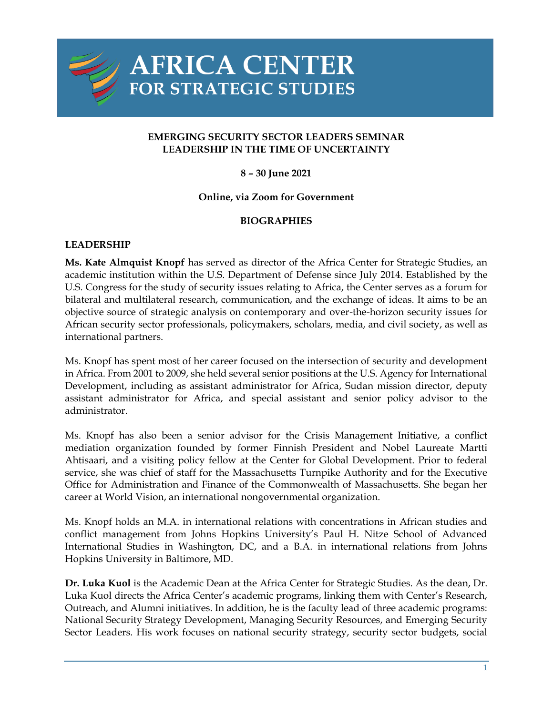

# **AFRICA CENTER FOR STRATEGIC STUDIES**

## **EMERGING SECURITY SECTOR LEADERS SEMINAR LEADERSHIP IN THE TIME OF UNCERTAINTY**

## **8 – 30 June 2021**

#### **Online, via Zoom for Government**

## **BIOGRAPHIES**

#### **LEADERSHIP**

**Ms. Kate Almquist Knopf** has served as director of the Africa Center for Strategic Studies, an academic institution within the U.S. Department of Defense since July 2014. Established by the U.S. Congress for the study of security issues relating to Africa, the Center serves as a forum for bilateral and multilateral research, communication, and the exchange of ideas. It aims to be an objective source of strategic analysis on contemporary and over-the-horizon security issues for African security sector professionals, policymakers, scholars, media, and civil society, as well as international partners.

Ms. Knopf has spent most of her career focused on the intersection of security and development in Africa. From 2001 to 2009, she held several senior positions at the U.S. Agency for International Development, including as assistant administrator for Africa, Sudan mission director, deputy assistant administrator for Africa, and special assistant and senior policy advisor to the administrator.

Ms. Knopf has also been a senior advisor for the Crisis Management Initiative, a conflict mediation organization founded by former Finnish President and Nobel Laureate Martti Ahtisaari, and a visiting policy fellow at the Center for Global Development. Prior to federal service, she was chief of staff for the Massachusetts Turnpike Authority and for the Executive Office for Administration and Finance of the Commonwealth of Massachusetts. She began her career at World Vision, an international nongovernmental organization.

Ms. Knopf holds an M.A. in international relations with concentrations in African studies and conflict management from Johns Hopkins University's Paul H. Nitze School of Advanced International Studies in Washington, DC, and a B.A. in international relations from Johns Hopkins University in Baltimore, MD.

**Dr. Luka Kuol** is the Academic Dean at the Africa Center for Strategic Studies. As the dean, Dr. Luka Kuol directs the Africa Center's academic programs, linking them with Center's Research, Outreach, and Alumni initiatives. In addition, he is the faculty lead of three academic programs: National Security Strategy Development, Managing Security Resources, and Emerging Security Sector Leaders. His work focuses on national security strategy, security sector budgets, social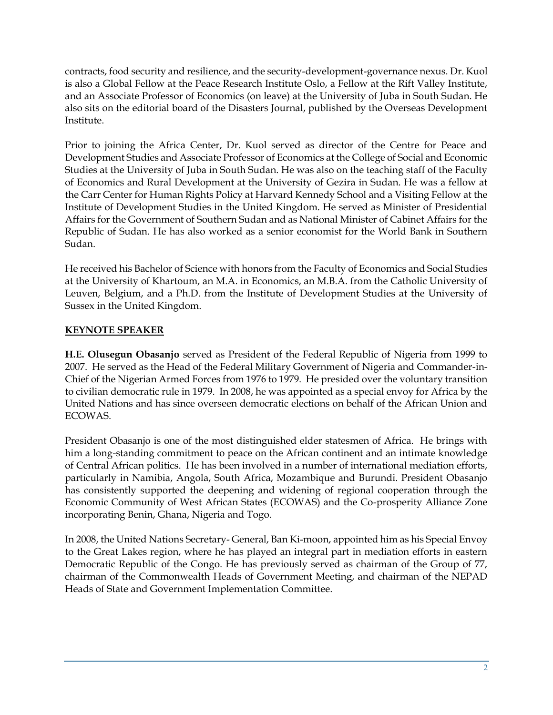contracts, food security and resilience, and the security-development-governance nexus. Dr. Kuol is also a Global Fellow at the Peace Research Institute Oslo, a Fellow at the Rift Valley Institute, and an Associate Professor of Economics (on leave) at the University of Juba in South Sudan. He also sits on the editorial board of the Disasters Journal, published by the Overseas Development Institute.

Prior to joining the Africa Center, Dr. Kuol served as director of the Centre for Peace and Development Studies and Associate Professor of Economics at the College of Social and Economic Studies at the University of Juba in South Sudan. He was also on the teaching staff of the Faculty of Economics and Rural Development at the University of Gezira in Sudan. He was a fellow at the Carr Center for Human Rights Policy at Harvard Kennedy School and a Visiting Fellow at the Institute of Development Studies in the United Kingdom. He served as Minister of Presidential Affairs for the Government of Southern Sudan and as National Minister of Cabinet Affairs for the Republic of Sudan. He has also worked as a senior economist for the World Bank in Southern Sudan.

He received his Bachelor of Science with honors from the Faculty of Economics and Social Studies at the University of Khartoum, an M.A. in Economics, an M.B.A. from the Catholic University of Leuven, Belgium, and a Ph.D. from the Institute of Development Studies at the University of Sussex in the United Kingdom.

# **KEYNOTE SPEAKER**

**H.E. Olusegun Obasanjo** served as President of the Federal Republic of Nigeria from 1999 to 2007. He served as the Head of the Federal Military Government of Nigeria and Commander-in-Chief of the Nigerian Armed Forces from 1976 to 1979. He presided over the voluntary transition to civilian democratic rule in 1979. In 2008, he was appointed as a special envoy for Africa by the United Nations and has since overseen democratic elections on behalf of the African Union and ECOWAS.

President Obasanjo is one of the most distinguished elder statesmen of Africa. He brings with him a long-standing commitment to peace on the African continent and an intimate knowledge of Central African politics. He has been involved in a number of international mediation efforts, particularly in Namibia, Angola, South Africa, Mozambique and Burundi. President Obasanjo has consistently supported the deepening and widening of regional cooperation through the Economic Community of West African States (ECOWAS) and the Co-prosperity Alliance Zone incorporating Benin, Ghana, Nigeria and Togo.

In 2008, the United Nations Secretary- General, Ban Ki-moon, appointed him as his Special Envoy to the Great Lakes region, where he has played an integral part in mediation efforts in eastern Democratic Republic of the Congo. He has previously served as chairman of the Group of 77, chairman of the Commonwealth Heads of Government Meeting, and chairman of the NEPAD Heads of State and Government Implementation Committee.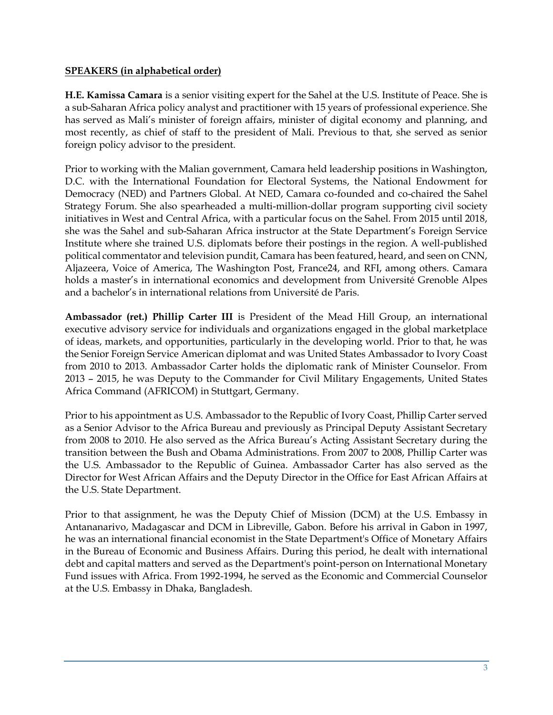#### **SPEAKERS (in alphabetical order)**

**H.E. Kamissa Camara** is a senior visiting expert for the Sahel at the U.S. Institute of Peace. She is a sub-Saharan Africa policy analyst and practitioner with 15 years of professional experience. She has served as Mali's minister of foreign affairs, minister of digital economy and planning, and most recently, as chief of staff to the president of Mali. Previous to that, she served as senior foreign policy advisor to the president.

Prior to working with the Malian government, Camara held leadership positions in Washington, D.C. with the International Foundation for Electoral Systems, the National Endowment for Democracy (NED) and Partners Global. At NED, Camara co-founded and co-chaired the Sahel Strategy Forum. She also spearheaded a multi-million-dollar program supporting civil society initiatives in West and Central Africa, with a particular focus on the Sahel. From 2015 until 2018, she was the Sahel and sub-Saharan Africa instructor at the State Department's Foreign Service Institute where she trained U.S. diplomats before their postings in the region. A well-published political commentator and television pundit, Camara has been featured, heard, and seen on CNN, Aljazeera, Voice of America, The Washington Post, France24, and RFI, among others. Camara holds a master's in international economics and development from Université Grenoble Alpes and a bachelor's in international relations from Université de Paris.

**Ambassador (ret.) Phillip Carter III** is President of the Mead Hill Group, an international executive advisory service for individuals and organizations engaged in the global marketplace of ideas, markets, and opportunities, particularly in the developing world. Prior to that, he was the Senior Foreign Service American diplomat and was United States Ambassador to Ivory Coast from 2010 to 2013. Ambassador Carter holds the diplomatic rank of Minister Counselor. From 2013 – 2015, he was Deputy to the Commander for Civil Military Engagements, United States Africa Command (AFRICOM) in Stuttgart, Germany.

Prior to his appointment as U.S. Ambassador to the Republic of Ivory Coast, Phillip Carter served as a Senior Advisor to the Africa Bureau and previously as Principal Deputy Assistant Secretary from 2008 to 2010. He also served as the Africa Bureau's Acting Assistant Secretary during the transition between the Bush and Obama Administrations. From 2007 to 2008, Phillip Carter was the U.S. Ambassador to the Republic of Guinea. Ambassador Carter has also served as the Director for West African Affairs and the Deputy Director in the Office for East African Affairs at the U.S. State Department.

Prior to that assignment, he was the Deputy Chief of Mission (DCM) at the U.S. Embassy in Antananarivo, Madagascar and DCM in Libreville, Gabon. Before his arrival in Gabon in 1997, he was an international financial economist in the State Department's Office of Monetary Affairs in the Bureau of Economic and Business Affairs. During this period, he dealt with international debt and capital matters and served as the Department's point-person on International Monetary Fund issues with Africa. From 1992-1994, he served as the Economic and Commercial Counselor at the U.S. Embassy in Dhaka, Bangladesh.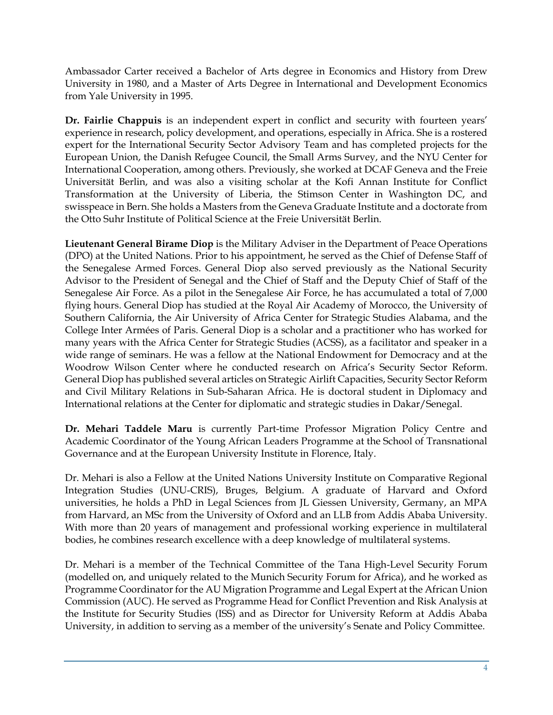Ambassador Carter received a Bachelor of Arts degree in Economics and History from Drew University in 1980, and a Master of Arts Degree in International and Development Economics from Yale University in 1995.

**Dr. Fairlie Chappuis** is an independent expert in conflict and security with fourteen years' experience in research, policy development, and operations, especially in Africa. She is a rostered expert for the International Security Sector Advisory Team and has completed projects for the European Union, the Danish Refugee Council, the Small Arms Survey, and the NYU Center for International Cooperation, among others. Previously, she worked at DCAF Geneva and the Freie Universität Berlin, and was also a visiting scholar at the Kofi Annan Institute for Conflict Transformation at the University of Liberia, the Stimson Center in Washington DC, and swisspeace in Bern. She holds a Masters from the Geneva Graduate Institute and a doctorate from the Otto Suhr Institute of Political Science at the Freie Universität Berlin.

**Lieutenant General Birame Diop** is the Military Adviser in the Department of Peace Operations (DPO) at the United Nations. Prior to his appointment, he served as the Chief of Defense Staff of the Senegalese Armed Forces. General Diop also served previously as the National Security Advisor to the President of Senegal and the Chief of Staff and the Deputy Chief of Staff of the Senegalese Air Force. As a pilot in the Senegalese Air Force, he has accumulated a total of 7,000 flying hours. General Diop has studied at the Royal Air Academy of Morocco, the University of Southern California, the Air University of Africa Center for Strategic Studies Alabama, and the College Inter Armées of Paris. General Diop is a scholar and a practitioner who has worked for many years with the Africa Center for Strategic Studies (ACSS), as a facilitator and speaker in a wide range of seminars. He was a fellow at the National Endowment for Democracy and at the Woodrow Wilson Center where he conducted research on Africa's Security Sector Reform. General Diop has published several articles on Strategic Airlift Capacities, Security Sector Reform and Civil Military Relations in Sub-Saharan Africa. He is doctoral student in Diplomacy and International relations at the Center for diplomatic and strategic studies in Dakar/Senegal.

**Dr. Mehari Taddele Maru** is currently Part-time Professor Migration Policy Centre and Academic Coordinator of the Young African Leaders Programme at the School of Transnational Governance and at the European University Institute in Florence, Italy.

Dr. Mehari is also a Fellow at the United Nations University Institute on Comparative Regional Integration Studies (UNU-CRIS), Bruges, Belgium. A graduate of Harvard and Oxford universities, he holds a PhD in Legal Sciences from JL Giessen University, Germany, an MPA from Harvard, an MSc from the University of Oxford and an LLB from Addis Ababa University. With more than 20 years of management and professional working experience in multilateral bodies, he combines research excellence with a deep knowledge of multilateral systems.

Dr. Mehari is a member of the Technical Committee of the Tana High-Level Security Forum (modelled on, and uniquely related to the Munich Security Forum for Africa), and he worked as Programme Coordinator for the AU Migration Programme and Legal Expert at the African Union Commission (AUC). He served as Programme Head for Conflict Prevention and Risk Analysis at the Institute for Security Studies (ISS) and as Director for University Reform at Addis Ababa University, in addition to serving as a member of the university's Senate and Policy Committee.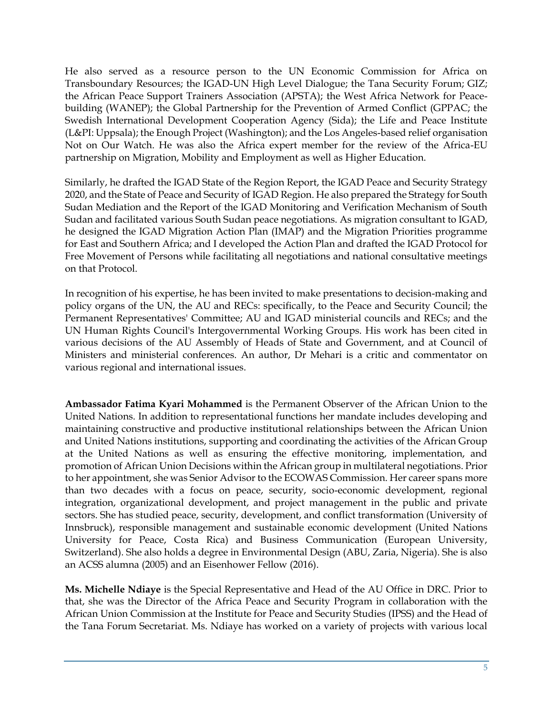He also served as a resource person to the UN Economic Commission for Africa on Transboundary Resources; the IGAD-UN High Level Dialogue; the Tana Security Forum; GIZ; the African Peace Support Trainers Association (APSTA); the West Africa Network for Peacebuilding (WANEP); the Global Partnership for the Prevention of Armed Conflict (GPPAC; the Swedish International Development Cooperation Agency (Sida); the Life and Peace Institute (L&PI: Uppsala); the Enough Project (Washington); and the Los Angeles-based relief organisation Not on Our Watch. He was also the Africa expert member for the review of the Africa-EU partnership on Migration, Mobility and Employment as well as Higher Education.

Similarly, he drafted the IGAD State of the Region Report, the IGAD Peace and Security Strategy 2020, and the State of Peace and Security of IGAD Region. He also prepared the Strategy for South Sudan Mediation and the Report of the IGAD Monitoring and Verification Mechanism of South Sudan and facilitated various South Sudan peace negotiations. As migration consultant to IGAD, he designed the IGAD Migration Action Plan (IMAP) and the Migration Priorities programme for East and Southern Africa; and I developed the Action Plan and drafted the IGAD Protocol for Free Movement of Persons while facilitating all negotiations and national consultative meetings on that Protocol.

In recognition of his expertise, he has been invited to make presentations to decision-making and policy organs of the UN, the AU and RECs: specifically, to the Peace and Security Council; the Permanent Representatives' Committee; AU and IGAD ministerial councils and RECs; and the UN Human Rights Council's Intergovernmental Working Groups. His work has been cited in various decisions of the AU Assembly of Heads of State and Government, and at Council of Ministers and ministerial conferences. An author, Dr Mehari is a critic and commentator on various regional and international issues.

**Ambassador Fatima Kyari Mohammed** is the Permanent Observer of the African Union to the United Nations. In addition to representational functions her mandate includes developing and maintaining constructive and productive institutional relationships between the African Union and United Nations institutions, supporting and coordinating the activities of the African Group at the United Nations as well as ensuring the effective monitoring, implementation, and promotion of African Union Decisions within the African group in multilateral negotiations. Prior to her appointment, she was Senior Advisor to the ECOWAS Commission. Her career spans more than two decades with a focus on peace, security, socio-economic development, regional integration, organizational development, and project management in the public and private sectors. She has studied peace, security, development, and conflict transformation (University of Innsbruck), responsible management and sustainable economic development (United Nations University for Peace, Costa Rica) and Business Communication (European University, Switzerland). She also holds a degree in Environmental Design (ABU, Zaria, Nigeria). She is also an ACSS alumna (2005) and an Eisenhower Fellow (2016).

**Ms. Michelle Ndiaye** is the Special Representative and Head of the AU Office in DRC. Prior to that, she was the Director of the Africa Peace and Security Program in collaboration with the African Union Commission at the Institute for Peace and Security Studies (IPSS) and the Head of the Tana Forum Secretariat. Ms. Ndiaye has worked on a variety of projects with various local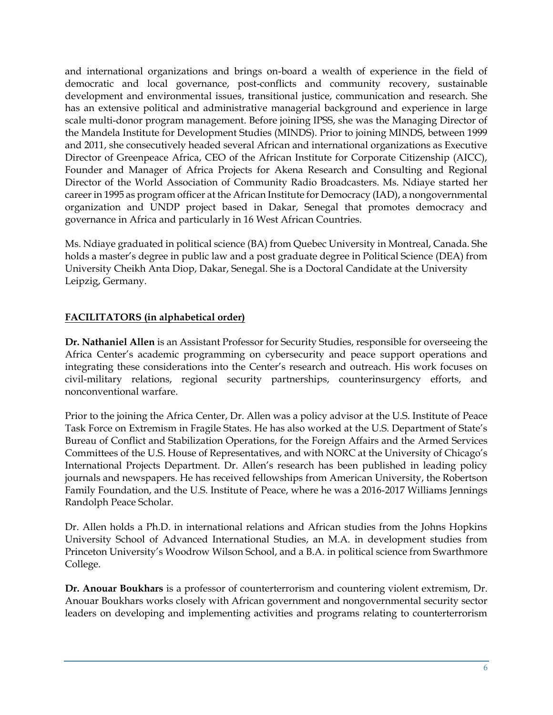and international organizations and brings on-board a wealth of experience in the field of democratic and local governance, post-conflicts and community recovery, sustainable development and environmental issues, transitional justice, communication and research. She has an extensive political and administrative managerial background and experience in large scale multi-donor program management. Before joining IPSS, she was the Managing Director of the Mandela Institute for Development Studies (MINDS). Prior to joining MINDS, between 1999 and 2011, she consecutively headed several African and international organizations as Executive Director of Greenpeace Africa, CEO of the African Institute for Corporate Citizenship (AICC), Founder and Manager of Africa Projects for Akena Research and Consulting and Regional Director of the World Association of Community Radio Broadcasters. Ms. Ndiaye started her career in 1995 as program officer at the African Institute for Democracy (IAD), a nongovernmental organization and UNDP project based in Dakar, Senegal that promotes democracy and governance in Africa and particularly in 16 West African Countries.

Ms. Ndiaye graduated in political science (BA) from Quebec University in Montreal, Canada. She holds a master's degree in public law and a post graduate degree in Political Science (DEA) from University Cheikh Anta Diop, Dakar, Senegal. She is a Doctoral Candidate at the University Leipzig, Germany.

# **FACILITATORS (in alphabetical order)**

**Dr. Nathaniel Allen** is an Assistant Professor for Security Studies, responsible for overseeing the Africa Center's academic programming on cybersecurity and peace support operations and integrating these considerations into the Center's research and outreach. His work focuses on civil-military relations, regional security partnerships, counterinsurgency efforts, and nonconventional warfare.

Prior to the joining the Africa Center, Dr. Allen was a policy advisor at the U.S. Institute of Peace Task Force on Extremism in Fragile States. He has also worked at the U.S. Department of State's Bureau of Conflict and Stabilization Operations, for the Foreign Affairs and the Armed Services Committees of the U.S. House of Representatives, and with NORC at the University of Chicago's International Projects Department. Dr. Allen's research has been published in leading policy journals and newspapers. He has received fellowships from American University, the Robertson Family Foundation, and the U.S. Institute of Peace, where he was a 2016-2017 Williams Jennings Randolph Peace Scholar.

Dr. Allen holds a Ph.D. in international relations and African studies from the Johns Hopkins University School of Advanced International Studies, an M.A. in development studies from Princeton University's Woodrow Wilson School, and a B.A. in political science from Swarthmore College.

**Dr. Anouar Boukhars** is a professor of counterterrorism and countering violent extremism, Dr. Anouar Boukhars works closely with African government and nongovernmental security sector leaders on developing and implementing activities and programs relating to counterterrorism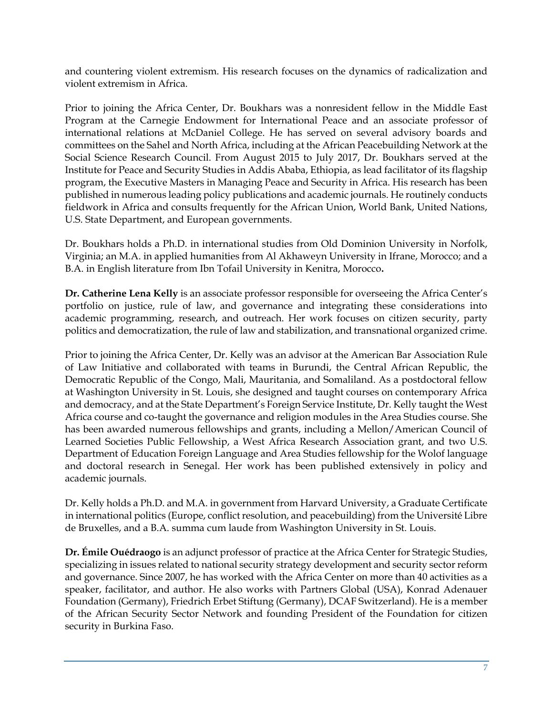and countering violent extremism. His research focuses on the dynamics of radicalization and violent extremism in Africa.

Prior to joining the Africa Center, Dr. Boukhars was a nonresident fellow in the Middle East Program at the Carnegie Endowment for International Peace and an associate professor of international relations at McDaniel College. He has served on several advisory boards and committees on the Sahel and North Africa, including at the African Peacebuilding Network at the Social Science Research Council. From August 2015 to July 2017, Dr. Boukhars served at the Institute for Peace and Security Studies in Addis Ababa, Ethiopia, as lead facilitator of its flagship program, the Executive Masters in Managing Peace and Security in Africa. His research has been published in numerous leading policy publications and academic journals. He routinely conducts fieldwork in Africa and consults frequently for the African Union, World Bank, United Nations, U.S. State Department, and European governments.

Dr. Boukhars holds a Ph.D. in international studies from Old Dominion University in Norfolk, Virginia; an M.A. in applied humanities from Al Akhaweyn University in Ifrane, Morocco; and a B.A. in English literature from Ibn Tofail University in Kenitra, Morocco**.**

**Dr. Catherine Lena Kelly** is an associate professor responsible for overseeing the Africa Center's portfolio on justice, rule of law, and governance and integrating these considerations into academic programming, research, and outreach. Her work focuses on citizen security, party politics and democratization, the rule of law and stabilization, and transnational organized crime.

Prior to joining the Africa Center, Dr. Kelly was an advisor at the American Bar Association Rule of Law Initiative and collaborated with teams in Burundi, the Central African Republic, the Democratic Republic of the Congo, Mali, Mauritania, and Somaliland. As a postdoctoral fellow at Washington University in St. Louis, she designed and taught courses on contemporary Africa and democracy, and at the State Department's Foreign Service Institute, Dr. Kelly taught the West Africa course and co-taught the governance and religion modules in the Area Studies course. She has been awarded numerous fellowships and grants, including a Mellon/American Council of Learned Societies Public Fellowship, a West Africa Research Association grant, and two U.S. Department of Education Foreign Language and Area Studies fellowship for the Wolof language and doctoral research in Senegal. Her work has been published extensively in policy and academic journals.

Dr. Kelly holds a Ph.D. and M.A. in government from Harvard University, a Graduate Certificate in international politics (Europe, conflict resolution, and peacebuilding) from the Université Libre de Bruxelles, and a B.A. summa cum laude from Washington University in St. Louis.

**Dr. Émile Ouédraogo** is an adjunct professor of practice at the Africa Center for Strategic Studies, specializing in issues related to national security strategy development and security sector reform and governance. Since 2007, he has worked with the Africa Center on more than 40 activities as a speaker, facilitator, and author. He also works with Partners Global (USA), Konrad Adenauer Foundation (Germany), Friedrich Erbet Stiftung (Germany), DCAF Switzerland). He is a member of the African Security Sector Network and founding President of the Foundation for citizen security in Burkina Faso.